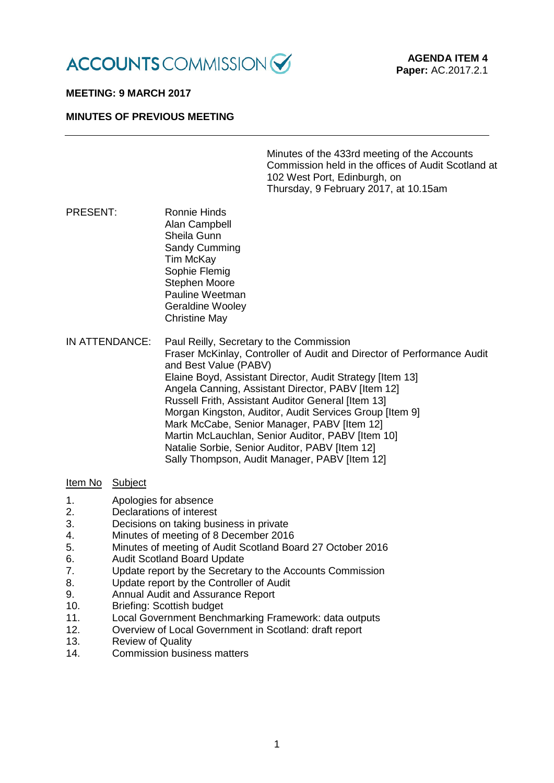

#### **MEETING: 9 MARCH 2017**

#### **MINUTES OF PREVIOUS MEETING**

| Minutes of the 433rd meeting of the Accounts        |
|-----------------------------------------------------|
| Commission held in the offices of Audit Scotland at |
| 102 West Port, Edinburgh, on                        |
| Thursday, 9 February 2017, at 10.15am               |

PRESENT: Ronnie Hinds Alan Campbell Sheila Gunn Sandy Cumming Tim McKay Sophie Flemig Stephen Moore Pauline Weetman Geraldine Wooley Christine May

IN ATTENDANCE: Paul Reilly, Secretary to the Commission Fraser McKinlay, Controller of Audit and Director of Performance Audit and Best Value (PABV) Elaine Boyd, Assistant Director, Audit Strategy [Item 13] Angela Canning, Assistant Director, PABV [Item 12] Russell Frith, Assistant Auditor General [Item 13] Morgan Kingston, Auditor, Audit Services Group [Item 9] Mark McCabe, Senior Manager, PABV IItem 121 Martin McLauchlan, Senior Auditor, PABV [Item 10] Natalie Sorbie, Senior Auditor, PABV [Item 12] Sally Thompson, Audit Manager, PABV [Item 12]

#### Item No Subject

- 1. Apologies for absence
- 2. Declarations of interest<br>3. Decisions on taking bus
- Decisions on taking business in private
- 4. Minutes of meeting of 8 December 2016<br>5. Minutes of meeting of Audit Scotland Boa
- 5. Minutes of meeting of Audit Scotland Board 27 October 2016
- 6. Audit Scotland Board Update
- 7. Update report by the Secretary to the Accounts Commission
- 8. Update report by the Controller of Audit
- 9. Annual Audit and Assurance Report<br>10. Briefing: Scottish budget
- Briefing: Scottish budget
- 11. Local Government Benchmarking Framework: data outputs
- 12. Overview of Local Government in Scotland: draft report
- 13. Review of Quality
- 14. Commission business matters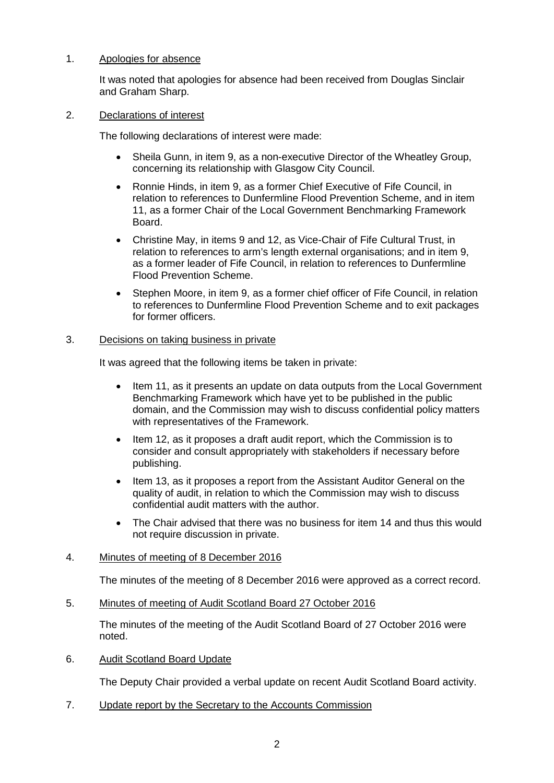# 1. Apologies for absence

It was noted that apologies for absence had been received from Douglas Sinclair and Graham Sharp.

#### 2. Declarations of interest

The following declarations of interest were made:

- Sheila Gunn, in item 9, as a non-executive Director of the Wheatley Group, concerning its relationship with Glasgow City Council.
- Ronnie Hinds, in item 9, as a former Chief Executive of Fife Council, in relation to references to Dunfermline Flood Prevention Scheme, and in item 11, as a former Chair of the Local Government Benchmarking Framework Board.
- Christine May, in items 9 and 12, as Vice-Chair of Fife Cultural Trust, in relation to references to arm's length external organisations; and in item 9, as a former leader of Fife Council, in relation to references to Dunfermline Flood Prevention Scheme.
- Stephen Moore, in item 9, as a former chief officer of Fife Council, in relation to references to Dunfermline Flood Prevention Scheme and to exit packages for former officers.

# 3. Decisions on taking business in private

It was agreed that the following items be taken in private:

- Item 11, as it presents an update on data outputs from the Local Government Benchmarking Framework which have yet to be published in the public domain, and the Commission may wish to discuss confidential policy matters with representatives of the Framework.
- Item 12, as it proposes a draft audit report, which the Commission is to consider and consult appropriately with stakeholders if necessary before publishing.
- Item 13, as it proposes a report from the Assistant Auditor General on the quality of audit, in relation to which the Commission may wish to discuss confidential audit matters with the author.
- The Chair advised that there was no business for item 14 and thus this would not require discussion in private.

# 4. Minutes of meeting of 8 December 2016

The minutes of the meeting of 8 December 2016 were approved as a correct record.

5. Minutes of meeting of Audit Scotland Board 27 October 2016

The minutes of the meeting of the Audit Scotland Board of 27 October 2016 were noted.

6. Audit Scotland Board Update

The Deputy Chair provided a verbal update on recent Audit Scotland Board activity.

7. Update report by the Secretary to the Accounts Commission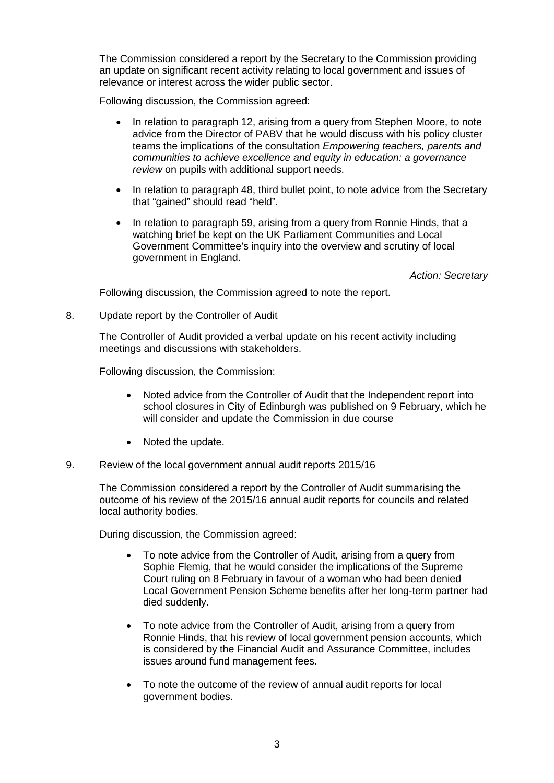The Commission considered a report by the Secretary to the Commission providing an update on significant recent activity relating to local government and issues of relevance or interest across the wider public sector.

Following discussion, the Commission agreed:

- In relation to paragraph 12, arising from a query from Stephen Moore, to note advice from the Director of PABV that he would discuss with his policy cluster teams the implications of the consultation *Empowering teachers, parents and communities to achieve excellence and equity in education: a governance review* on pupils with additional support needs.
- In relation to paragraph 48, third bullet point, to note advice from the Secretary that "gained" should read "held".
- In relation to paragraph 59, arising from a query from Ronnie Hinds, that a watching brief be kept on the UK Parliament Communities and Local Government Committee's inquiry into the overview and scrutiny of local government in England.

*Action: Secretary* 

Following discussion, the Commission agreed to note the report.

# 8. Update report by the Controller of Audit

The Controller of Audit provided a verbal update on his recent activity including meetings and discussions with stakeholders.

Following discussion, the Commission:

- Noted advice from the Controller of Audit that the Independent report into school closures in City of Edinburgh was published on 9 February, which he will consider and update the Commission in due course
- Noted the update.

# 9. Review of the local government annual audit reports 2015/16

The Commission considered a report by the Controller of Audit summarising the outcome of his review of the 2015/16 annual audit reports for councils and related local authority bodies.

During discussion, the Commission agreed:

- To note advice from the Controller of Audit, arising from a query from Sophie Flemig, that he would consider the implications of the Supreme Court ruling on 8 February in favour of a woman who had been denied Local Government Pension Scheme benefits after her long-term partner had died suddenly.
- To note advice from the Controller of Audit, arising from a query from Ronnie Hinds, that his review of local government pension accounts, which is considered by the Financial Audit and Assurance Committee, includes issues around fund management fees.
- To note the outcome of the review of annual audit reports for local government bodies.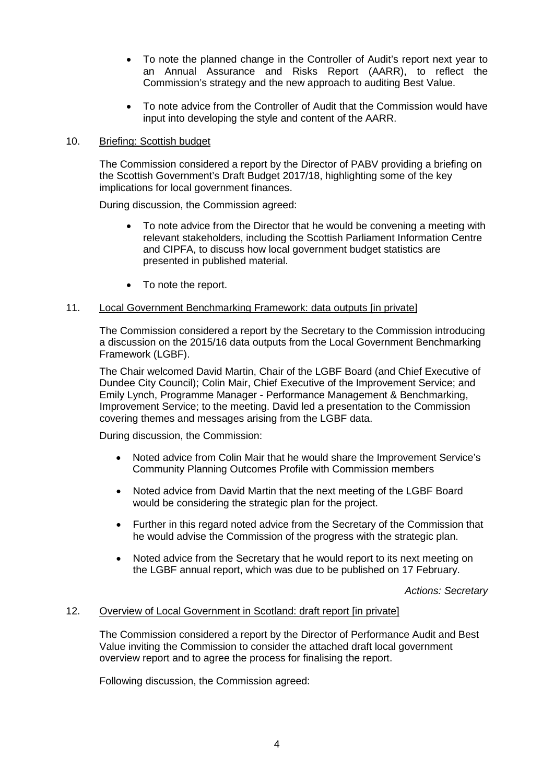- To note the planned change in the Controller of Audit's report next year to an Annual Assurance and Risks Report (AARR), to reflect the Commission's strategy and the new approach to auditing Best Value.
- To note advice from the Controller of Audit that the Commission would have input into developing the style and content of the AARR.

# 10. Briefing: Scottish budget

The Commission considered a report by the Director of PABV providing a briefing on the Scottish Government's Draft Budget 2017/18, highlighting some of the key implications for local government finances.

During discussion, the Commission agreed:

- To note advice from the Director that he would be convening a meeting with relevant stakeholders, including the Scottish Parliament Information Centre and CIPFA, to discuss how local government budget statistics are presented in published material.
- To note the report.

# 11. Local Government Benchmarking Framework: data outputs [in private]

The Commission considered a report by the Secretary to the Commission introducing a discussion on the 2015/16 data outputs from the Local Government Benchmarking Framework (LGBF).

The Chair welcomed David Martin, Chair of the LGBF Board (and Chief Executive of Dundee City Council); Colin Mair, Chief Executive of the Improvement Service; and Emily Lynch, Programme Manager - Performance Management & Benchmarking, Improvement Service; to the meeting. David led a presentation to the Commission covering themes and messages arising from the LGBF data.

During discussion, the Commission:

- Noted advice from Colin Mair that he would share the Improvement Service's Community Planning Outcomes Profile with Commission members
- Noted advice from David Martin that the next meeting of the LGBF Board would be considering the strategic plan for the project.
- Further in this regard noted advice from the Secretary of the Commission that he would advise the Commission of the progress with the strategic plan.
- Noted advice from the Secretary that he would report to its next meeting on the LGBF annual report, which was due to be published on 17 February.

*Actions: Secretary*

# 12. Overview of Local Government in Scotland: draft report [in private]

The Commission considered a report by the Director of Performance Audit and Best Value inviting the Commission to consider the attached draft local government overview report and to agree the process for finalising the report.

Following discussion, the Commission agreed: